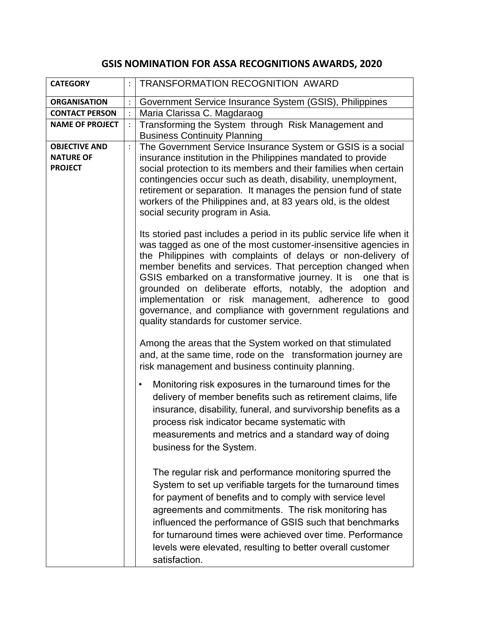## **GSIS NOMINATION FOR ASSA RECOGNITIONS AWARDS, 2020**

| <b>CATEGORY</b>                                            | TRANSFORMATION RECOGNITION AWARD                                                                                                                                                                                                                                                                                                                                                                                                                                                                                                                                    |
|------------------------------------------------------------|---------------------------------------------------------------------------------------------------------------------------------------------------------------------------------------------------------------------------------------------------------------------------------------------------------------------------------------------------------------------------------------------------------------------------------------------------------------------------------------------------------------------------------------------------------------------|
| <b>ORGANISATION</b>                                        | Government Service Insurance System (GSIS), Philippines                                                                                                                                                                                                                                                                                                                                                                                                                                                                                                             |
| <b>CONTACT PERSON</b>                                      | Maria Clarissa C. Magdaraog                                                                                                                                                                                                                                                                                                                                                                                                                                                                                                                                         |
| <b>NAME OF PROJECT</b>                                     | Transforming the System through Risk Management and<br><b>Business Continuity Planning</b>                                                                                                                                                                                                                                                                                                                                                                                                                                                                          |
| <b>OBJECTIVE AND</b><br><b>NATURE OF</b><br><b>PROJECT</b> | The Government Service Insurance System or GSIS is a social<br>insurance institution in the Philippines mandated to provide<br>social protection to its members and their families when certain<br>contingencies occur such as death, disability, unemployment,<br>retirement or separation. It manages the pension fund of state<br>workers of the Philippines and, at 83 years old, is the oldest<br>social security program in Asia.                                                                                                                             |
|                                                            | Its storied past includes a period in its public service life when it<br>was tagged as one of the most customer-insensitive agencies in<br>the Philippines with complaints of delays or non-delivery of<br>member benefits and services. That perception changed when<br>GSIS embarked on a transformative journey. It is one that is<br>grounded on deliberate efforts, notably, the adoption and<br>implementation or risk management, adherence to good<br>governance, and compliance with government regulations and<br>quality standards for customer service. |
|                                                            | Among the areas that the System worked on that stimulated<br>and, at the same time, rode on the transformation journey are<br>risk management and business continuity planning.                                                                                                                                                                                                                                                                                                                                                                                     |
|                                                            | Monitoring risk exposures in the turnaround times for the<br>٠<br>delivery of member benefits such as retirement claims, life<br>insurance, disability, funeral, and survivorship benefits as a<br>process risk indicator became systematic with<br>measurements and metrics and a standard way of doing<br>business for the System.                                                                                                                                                                                                                                |
|                                                            | The regular risk and performance monitoring spurred the<br>System to set up verifiable targets for the turnaround times<br>for payment of benefits and to comply with service level<br>agreements and commitments. The risk monitoring has<br>influenced the performance of GSIS such that benchmarks<br>for turnaround times were achieved over time. Performance<br>levels were elevated, resulting to better overall customer<br>satisfaction.                                                                                                                   |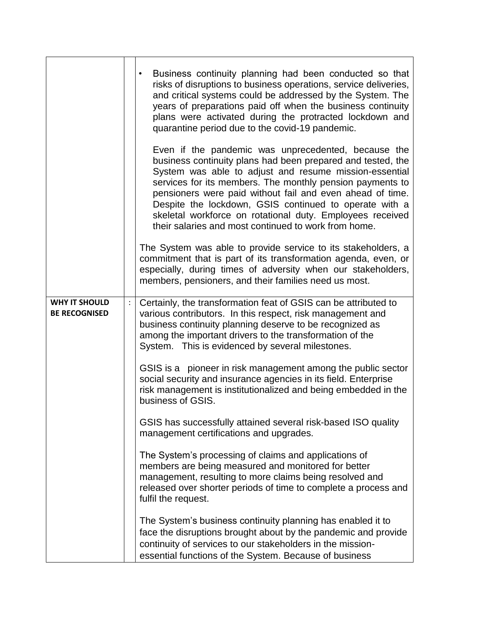|                                              | Business continuity planning had been conducted so that<br>risks of disruptions to business operations, service deliveries,<br>and critical systems could be addressed by the System. The<br>years of preparations paid off when the business continuity<br>plans were activated during the protracted lockdown and<br>quarantine period due to the covid-19 pandemic.<br>Even if the pandemic was unprecedented, because the<br>business continuity plans had been prepared and tested, the<br>System was able to adjust and resume mission-essential<br>services for its members. The monthly pension payments to<br>pensioners were paid without fail and even ahead of time.<br>Despite the lockdown, GSIS continued to operate with a<br>skeletal workforce on rotational duty. Employees received<br>their salaries and most continued to work from home. |
|----------------------------------------------|-----------------------------------------------------------------------------------------------------------------------------------------------------------------------------------------------------------------------------------------------------------------------------------------------------------------------------------------------------------------------------------------------------------------------------------------------------------------------------------------------------------------------------------------------------------------------------------------------------------------------------------------------------------------------------------------------------------------------------------------------------------------------------------------------------------------------------------------------------------------|
|                                              | The System was able to provide service to its stakeholders, a<br>commitment that is part of its transformation agenda, even, or<br>especially, during times of adversity when our stakeholders,<br>members, pensioners, and their families need us most.                                                                                                                                                                                                                                                                                                                                                                                                                                                                                                                                                                                                        |
| <b>WHY IT SHOULD</b><br><b>BE RECOGNISED</b> | Certainly, the transformation feat of GSIS can be attributed to<br>various contributors. In this respect, risk management and<br>business continuity planning deserve to be recognized as<br>among the important drivers to the transformation of the<br>System. This is evidenced by several milestones.                                                                                                                                                                                                                                                                                                                                                                                                                                                                                                                                                       |
|                                              | GSIS is a pioneer in risk management among the public sector<br>social security and insurance agencies in its field. Enterprise<br>risk management is institutionalized and being embedded in the<br>business of GSIS.                                                                                                                                                                                                                                                                                                                                                                                                                                                                                                                                                                                                                                          |
|                                              | GSIS has successfully attained several risk-based ISO quality<br>management certifications and upgrades.                                                                                                                                                                                                                                                                                                                                                                                                                                                                                                                                                                                                                                                                                                                                                        |
|                                              | The System's processing of claims and applications of<br>members are being measured and monitored for better<br>management, resulting to more claims being resolved and<br>released over shorter periods of time to complete a process and<br>fulfil the request.                                                                                                                                                                                                                                                                                                                                                                                                                                                                                                                                                                                               |
|                                              | The System's business continuity planning has enabled it to<br>face the disruptions brought about by the pandemic and provide<br>continuity of services to our stakeholders in the mission-<br>essential functions of the System. Because of business                                                                                                                                                                                                                                                                                                                                                                                                                                                                                                                                                                                                           |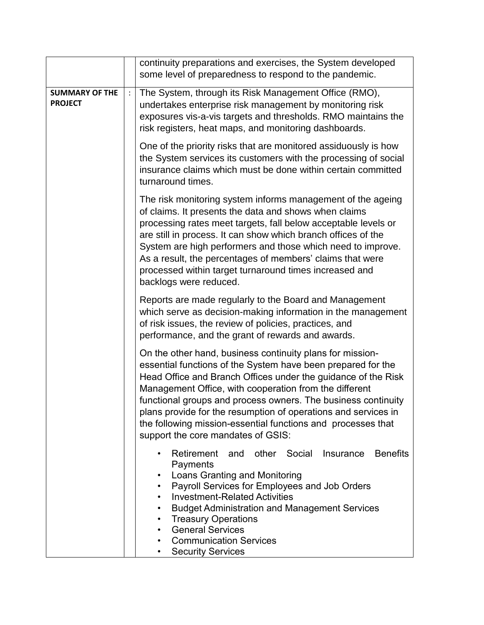|                                         | continuity preparations and exercises, the System developed<br>some level of preparedness to respond to the pandemic.                                                                                                                                                                                                                                                                                                                                                                         |
|-----------------------------------------|-----------------------------------------------------------------------------------------------------------------------------------------------------------------------------------------------------------------------------------------------------------------------------------------------------------------------------------------------------------------------------------------------------------------------------------------------------------------------------------------------|
| <b>SUMMARY OF THE</b><br><b>PROJECT</b> | The System, through its Risk Management Office (RMO),<br>undertakes enterprise risk management by monitoring risk<br>exposures vis-a-vis targets and thresholds. RMO maintains the<br>risk registers, heat maps, and monitoring dashboards.                                                                                                                                                                                                                                                   |
|                                         | One of the priority risks that are monitored assiduously is how<br>the System services its customers with the processing of social<br>insurance claims which must be done within certain committed<br>turnaround times.                                                                                                                                                                                                                                                                       |
|                                         | The risk monitoring system informs management of the ageing<br>of claims. It presents the data and shows when claims<br>processing rates meet targets, fall below acceptable levels or<br>are still in process. It can show which branch offices of the<br>System are high performers and those which need to improve.<br>As a result, the percentages of members' claims that were<br>processed within target turnaround times increased and<br>backlogs were reduced.                       |
|                                         | Reports are made regularly to the Board and Management<br>which serve as decision-making information in the management<br>of risk issues, the review of policies, practices, and<br>performance, and the grant of rewards and awards.                                                                                                                                                                                                                                                         |
|                                         | On the other hand, business continuity plans for mission-<br>essential functions of the System have been prepared for the<br>Head Office and Branch Offices under the guidance of the Risk<br>Management Office, with cooperation from the different<br>functional groups and process owners. The business continuity<br>plans provide for the resumption of operations and services in<br>the following mission-essential functions and processes that<br>support the core mandates of GSIS: |
|                                         | Retirement and other Social<br><b>Benefits</b><br>Insurance<br>Payments<br>Loans Granting and Monitoring<br>٠<br>Payroll Services for Employees and Job Orders<br>$\bullet$<br><b>Investment-Related Activities</b><br>٠<br><b>Budget Administration and Management Services</b><br><b>Treasury Operations</b><br><b>General Services</b><br><b>Communication Services</b><br><b>Security Services</b>                                                                                        |